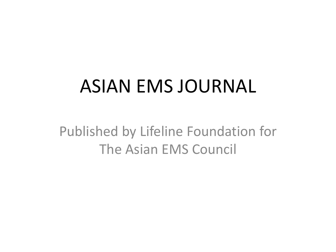## ASIAN EMS JOURNAL

Published by Lifeline Foundation for The Asian EMS Council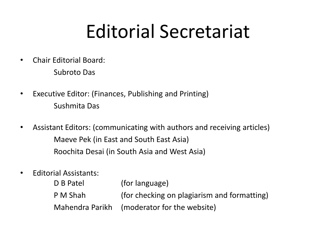## Editorial Secretariat

- Chair Editorial Board: Subroto Das
- Executive Editor: (Finances, Publishing and Printing) Sushmita Das
- Assistant Editors: (communicating with authors and receiving articles) Maeve Pek (in East and South East Asia) Roochita Desai (in South Asia and West Asia)
- Editorial Assistants:

| D B Patel | (for language)                              |
|-----------|---------------------------------------------|
| P M Shah  | (for checking on plagiarism and formatting) |
|           | Mahendra Parikh (moderator for the website) |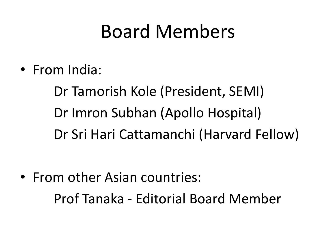## Board Members

• From India:

Dr Tamorish Kole (President, SEMI) Dr Imron Subhan (Apollo Hospital) Dr Sri Hari Cattamanchi (Harvard Fellow)

• From other Asian countries: Prof Tanaka - Editorial Board Member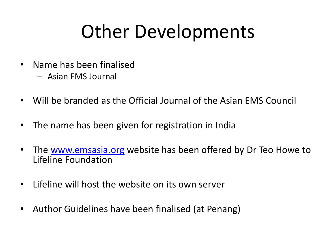## Other Developments

- Name has been finalised
	- Asian EMS Journal
- Will be branded as the Official Journal of the Asian EMS Council
- The name has been given for registration in India
- The [www.emsasia.org](http://www.emsasia.org/) website has been offered by Dr Teo Howe to Lifeline Foundation
- Lifeline will host the website on its own server
- Author Guidelines have been finalised (at Penang)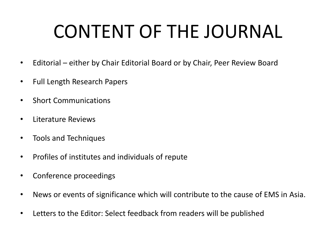# CONTENT OF THE JOURNAL

- Editorial either by Chair Editorial Board or by Chair, Peer Review Board
- Full Length Research Papers
- Short Communications
- Literature Reviews
- Tools and Techniques
- Profiles of institutes and individuals of repute
- Conference proceedings
- News or events of significance which will contribute to the cause of EMS in Asia.
- Letters to the Editor: Select feedback from readers will be published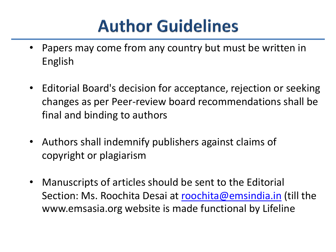## **Author Guidelines**

- Papers may come from any country but must be written in English
- Editorial Board's decision for acceptance, rejection or seeking changes as per Peer-review board recommendations shall be final and binding to authors
- Authors shall indemnify publishers against claims of copyright or plagiarism
- Manuscripts of articles should be sent to the Editorial Section: Ms. Roochita Desai at [roochita@emsindia.in](mailto:roochita@emsindia.in) (till the www.emsasia.org website is made functional by Lifeline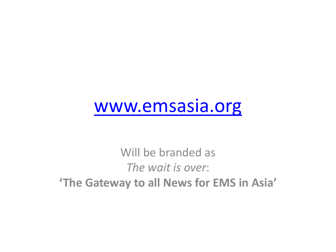## [www.emsasia.org](http://www.emsasia.org/)

Will be branded as *The wait is over*: **'The Gateway to all News for EMS in Asia'**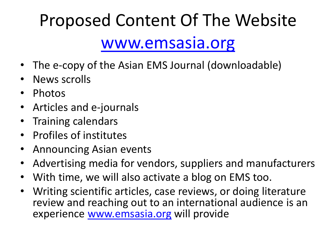## Proposed Content Of The Website [www.emsasia.org](http://www.emsasia.org/)

- The e-copy of the Asian EMS Journal (downloadable)
- News scrolls
- Photos
- Articles and e-journals
- Training calendars
- Profiles of institutes
- Announcing Asian events
- Advertising media for vendors, suppliers and manufacturers
- With time, we will also activate a blog on EMS too.
- Writing scientific articles, case reviews, or doing literature review and reaching out to an international audience is an experience [www.emsasia.org](http://www.emsasia.org/) will provide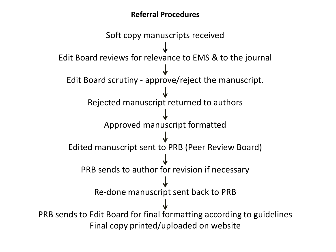### **Referral Procedures**

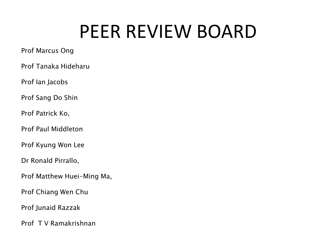## PEER REVIEW BOARD

#### Prof Marcus Ong

Prof Tanaka Hideharu

Prof Ian Jacobs

Prof Sang Do Shin

Prof Patrick Ko,

Prof Paul Middleton

Prof Kyung Won Lee

Dr Ronald Pirrallo,

Prof Matthew Huei-Ming Ma,

Prof Chiang Wen Chu

Prof Junaid Razzak

Prof T V Ramakrishnan